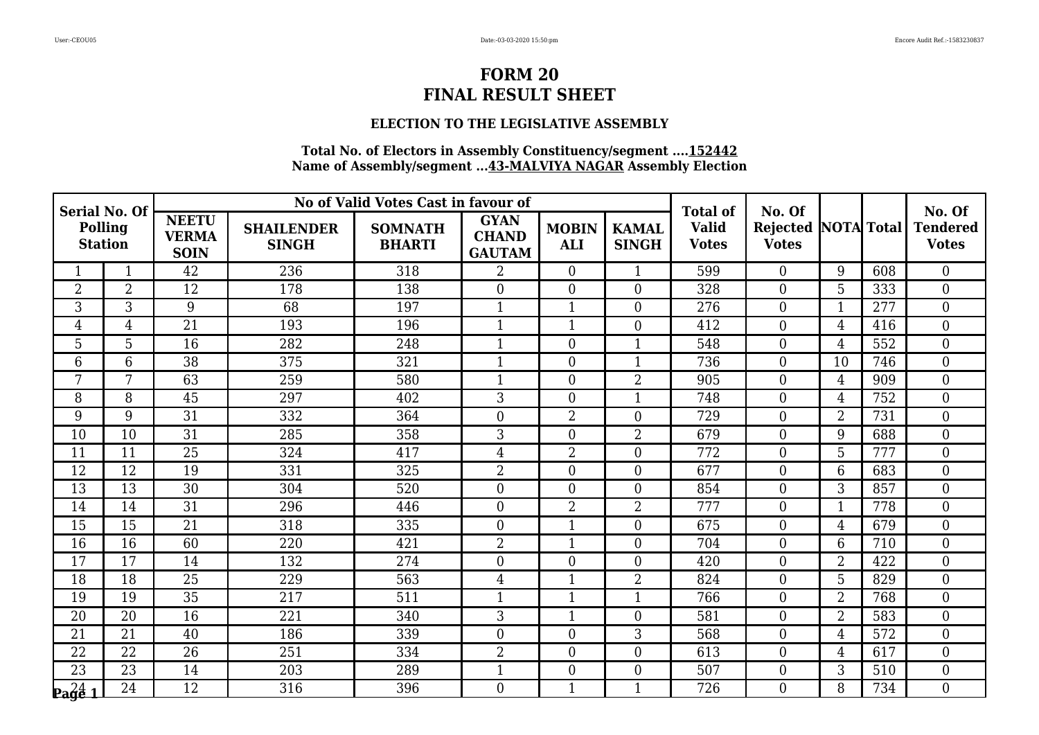## **ELECTION TO THE LEGISLATIVE ASSEMBLY**

| <b>Serial No. Of</b><br>Polling<br><b>Station</b> |                 |                                             |                                   | No of Valid Votes Cast in favour of |                                              |                            |                              | <b>Total of</b>              | No. Of                                     |                |     | No. Of                          |
|---------------------------------------------------|-----------------|---------------------------------------------|-----------------------------------|-------------------------------------|----------------------------------------------|----------------------------|------------------------------|------------------------------|--------------------------------------------|----------------|-----|---------------------------------|
|                                                   |                 | <b>NEETU</b><br><b>VERMA</b><br><b>SOIN</b> | <b>SHAILENDER</b><br><b>SINGH</b> | <b>SOMNATH</b><br><b>BHARTI</b>     | <b>GYAN</b><br><b>CHAND</b><br><b>GAUTAM</b> | <b>MOBIN</b><br><b>ALI</b> | <b>KAMAL</b><br><b>SINGH</b> | <b>Valid</b><br><b>Votes</b> | <b>Rejected NOTA Total</b><br><b>Votes</b> |                |     | <b>Tendered</b><br><b>Votes</b> |
|                                                   | 1               | 42                                          | 236                               | 318                                 | $\overline{2}$                               | $\overline{0}$             | $\mathbf{1}$                 | 599                          | $\overline{0}$                             | 9              | 608 | $\overline{0}$                  |
| $\overline{2}$                                    | $\overline{2}$  | 12                                          | 178                               | 138                                 | $\overline{0}$                               | $\overline{0}$             | $\overline{0}$               | 328                          | $\overline{0}$                             | 5              | 333 | $\mathbf{0}$                    |
| 3                                                 | 3               | 9                                           | 68                                | 197                                 | $\mathbf{1}$                                 | $\mathbf{1}$               | $\overline{0}$               | 276                          | $\boldsymbol{0}$                           | $\mathbf{1}$   | 277 | $\boldsymbol{0}$                |
| 4                                                 | $\overline{4}$  | $\overline{21}$                             | 193                               | 196                                 | $\mathbf{1}$                                 | $\overline{1}$             | $\overline{0}$               | 412                          | $\boldsymbol{0}$                           | $\overline{4}$ | 416 | $\mathbf{0}$                    |
| 5                                                 | 5               | 16                                          | 282                               | 248                                 | $\mathbf{1}$                                 | $\overline{0}$             | 1                            | 548                          | $\overline{0}$                             | $\overline{4}$ | 552 | $\mathbf{0}$                    |
| 6                                                 | 6               | 38                                          | 375                               | 321                                 | $\mathbf{1}$                                 | $\boldsymbol{0}$           | $\mathbf{1}$                 | 736                          | $\boldsymbol{0}$                           | 10             | 746 | $\boldsymbol{0}$                |
| 7                                                 | 7               | 63                                          | 259                               | 580                                 | $\mathbf{1}$                                 | $\boldsymbol{0}$           | $\overline{2}$               | 905                          | $\boldsymbol{0}$                           | $\overline{4}$ | 909 | $\mathbf{0}$                    |
| 8                                                 | 8               | 45                                          | 297                               | 402                                 | 3                                            | $\overline{0}$             | $\mathbf{1}$                 | 748                          | $\overline{0}$                             | $\overline{4}$ | 752 | $\mathbf{0}$                    |
| 9                                                 | 9               | $\overline{31}$                             | 332                               | 364                                 | $\overline{0}$                               | $\overline{2}$             | $\overline{0}$               | 729                          | $\boldsymbol{0}$                           | $\overline{2}$ | 731 | $\overline{0}$                  |
| 10                                                | 10              | 31                                          | 285                               | 358                                 | 3                                            | $\overline{0}$             | $\overline{2}$               | 679                          | $\boldsymbol{0}$                           | 9              | 688 | $\mathbf{0}$                    |
| 11                                                | 11              | 25                                          | 324                               | 417                                 | $\overline{4}$                               | $\overline{2}$             | $\overline{0}$               | 772                          | $\overline{0}$                             | 5              | 777 | $\boldsymbol{0}$                |
| 12                                                | $\overline{12}$ | 19                                          | 331                               | 325                                 | $\overline{2}$                               | $\mathbf{0}$               | $\overline{0}$               | 677                          | $\boldsymbol{0}$                           | $\overline{6}$ | 683 | $\overline{0}$                  |
| 13                                                | 13              | 30                                          | 304                               | 520                                 | $\overline{0}$                               | $\overline{0}$             | $\Omega$                     | 854                          | $\overline{0}$                             | 3              | 857 | $\boldsymbol{0}$                |
| 14                                                | 14              | 31                                          | 296                               | 446                                 | $\overline{0}$                               | $\overline{2}$             | $\overline{2}$               | 777                          | $\overline{0}$                             | $\mathbf{1}$   | 778 | $\overline{0}$                  |
| 15                                                | 15              | 21                                          | 318                               | 335                                 | $\overline{0}$                               | $\overline{1}$             | $\overline{0}$               | 675                          | $\boldsymbol{0}$                           | 4              | 679 | $\boldsymbol{0}$                |
| 16                                                | 16              | 60                                          | 220                               | 421                                 | $\overline{2}$                               | $\mathbf{1}$               | $\Omega$                     | 704                          | $\overline{0}$                             | 6              | 710 | $\overline{0}$                  |
| 17                                                | 17              | 14                                          | 132                               | 274                                 | $\overline{0}$                               | $\overline{0}$             | $\overline{0}$               | 420                          | $\mathbf{0}$                               | $\overline{2}$ | 422 | $\mathbf{0}$                    |
| 18                                                | 18              | $\overline{25}$                             | 229                               | 563                                 | $\overline{4}$                               | $\overline{1}$             | $\overline{2}$               | 824                          | $\boldsymbol{0}$                           | 5              | 829 | $\boldsymbol{0}$                |
| 19                                                | 19              | $\overline{35}$                             | 217                               | 511                                 | $\mathbf{1}$                                 | $\mathbf{1}$               | $\mathbf{1}$                 | 766                          | $\overline{0}$                             | $\overline{2}$ | 768 | $\overline{0}$                  |
| 20                                                | 20              | 16                                          | 221                               | 340                                 | 3                                            | $\overline{1}$             | $\Omega$                     | 581                          | $\mathbf{0}$                               | $\overline{2}$ | 583 | $\mathbf{0}$                    |
| 21                                                | 21              | 40                                          | 186                               | 339                                 | $\boldsymbol{0}$                             | $\boldsymbol{0}$           | 3                            | 568                          | $\boldsymbol{0}$                           | $\overline{4}$ | 572 | $\boldsymbol{0}$                |
| 22                                                | 22              | 26                                          | 251                               | 334                                 | $\overline{2}$                               | $\overline{0}$             | $\Omega$                     | 613                          | $\overline{0}$                             | 4              | 617 | $\overline{0}$                  |
| 23                                                | 23              | 14                                          | 203                               | 289                                 | $\mathbf{1}$                                 | $\boldsymbol{0}$           | $\overline{0}$               | 507                          | $\overline{0}$                             | 3              | 510 | $\boldsymbol{0}$                |
| $\mathbf{p_4} \mathbf{q_6} \mathbf{1}$            | 24              | 12                                          | 316                               | 396                                 | $\overline{0}$                               | $\mathbf{1}$               | 1                            | 726                          | $\boldsymbol{0}$                           | 8              | 734 | $\boldsymbol{0}$                |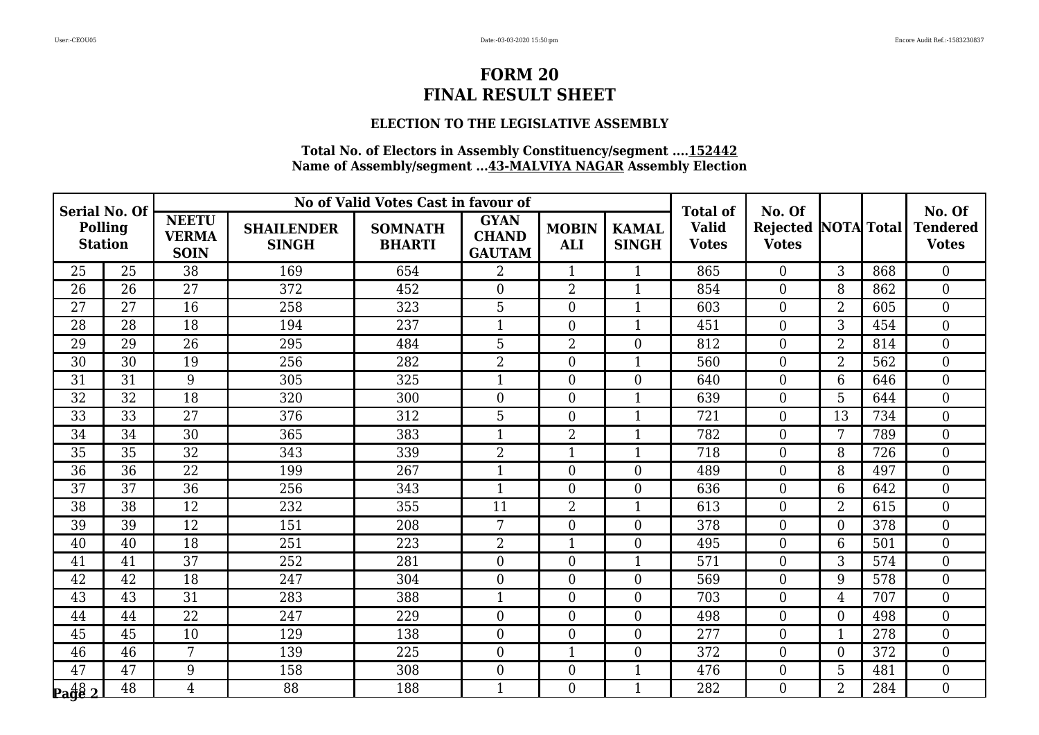## **ELECTION TO THE LEGISLATIVE ASSEMBLY**

| <b>Serial No. Of</b><br>Polling<br><b>Station</b> |                 |                                             |                                   | No of Valid Votes Cast in favour of |                                              |                            |                              | <b>Total of</b>              | No. Of                                     |                 |     | No. Of                          |
|---------------------------------------------------|-----------------|---------------------------------------------|-----------------------------------|-------------------------------------|----------------------------------------------|----------------------------|------------------------------|------------------------------|--------------------------------------------|-----------------|-----|---------------------------------|
|                                                   |                 | <b>NEETU</b><br><b>VERMA</b><br><b>SOIN</b> | <b>SHAILENDER</b><br><b>SINGH</b> | <b>SOMNATH</b><br><b>BHARTI</b>     | <b>GYAN</b><br><b>CHAND</b><br><b>GAUTAM</b> | <b>MOBIN</b><br><b>ALI</b> | <b>KAMAL</b><br><b>SINGH</b> | <b>Valid</b><br><b>Votes</b> | <b>Rejected NOTA Total</b><br><b>Votes</b> |                 |     | <b>Tendered</b><br><b>Votes</b> |
| 25                                                | 25              | 38                                          | 169                               | 654                                 | $\overline{2}$                               | $\mathbf{1}$               | $\mathbf{1}$                 | 865                          | $\overline{0}$                             | 3               | 868 | $\overline{0}$                  |
| 26                                                | 26              | 27                                          | 372                               | 452                                 | $\overline{0}$                               | $\overline{2}$             | $\mathbf{1}$                 | 854                          | $\overline{0}$                             | 8               | 862 | $\boldsymbol{0}$                |
| 27                                                | 27              | 16                                          | 258                               | 323                                 | $\overline{5}$                               | $\mathbf{0}$               | $\mathbf{1}$                 | 603                          | $\boldsymbol{0}$                           | $\overline{2}$  | 605 | $\boldsymbol{0}$                |
| 28                                                | 28              | 18                                          | 194                               | 237                                 | $\mathbf{1}$                                 | $\overline{0}$             | $\mathbf{1}$                 | 451                          | $\boldsymbol{0}$                           | 3               | 454 | $\mathbf{0}$                    |
| 29                                                | 29              | 26                                          | 295                               | 484                                 | 5                                            | $\overline{2}$             | $\overline{0}$               | 812                          | $\overline{0}$                             | $\overline{2}$  | 814 | $\boldsymbol{0}$                |
| 30                                                | 30              | 19                                          | 256                               | 282                                 | $\overline{2}$                               | $\boldsymbol{0}$           | $\mathbf{1}$                 | 560                          | $\boldsymbol{0}$                           | $\overline{2}$  | 562 | $\boldsymbol{0}$                |
| 31                                                | 31              | 9                                           | 305                               | 325                                 | $\mathbf{1}$                                 | $\boldsymbol{0}$           | $\overline{0}$               | 640                          | $\boldsymbol{0}$                           | 6               | 646 | $\boldsymbol{0}$                |
| 32                                                | 32              | 18                                          | 320                               | 300                                 | $\overline{0}$                               | $\overline{0}$             | 1                            | 639                          | $\boldsymbol{0}$                           | 5               | 644 | $\boldsymbol{0}$                |
| $\overline{33}$                                   | $\overline{33}$ | $\overline{27}$                             | 376                               | 312                                 | 5                                            | $\mathbf{0}$               | 1                            | 721                          | $\boldsymbol{0}$                           | $\overline{13}$ | 734 | $\overline{0}$                  |
| 34                                                | 34              | 30                                          | 365                               | 383                                 | $\mathbf{1}$                                 | $\overline{2}$             | $\mathbf{1}$                 | 782                          | $\boldsymbol{0}$                           | 7               | 789 | $\boldsymbol{0}$                |
| 35                                                | 35              | 32                                          | 343                               | 339                                 | $\overline{2}$                               | $\mathbf{1}$               | $\mathbf{1}$                 | 718                          | $\overline{0}$                             | 8               | 726 | $\boldsymbol{0}$                |
| 36                                                | $\overline{36}$ | $\overline{22}$                             | 199                               | 267                                 | $\mathbf{1}$                                 | $\mathbf{0}$               | $\overline{0}$               | 489                          | $\boldsymbol{0}$                           | 8               | 497 | $\overline{0}$                  |
| 37                                                | 37              | $\overline{36}$                             | 256                               | 343                                 | $\mathbf{1}$                                 | $\overline{0}$             | $\Omega$                     | 636                          | $\overline{0}$                             | 6               | 642 | $\boldsymbol{0}$                |
| 38                                                | 38              | 12                                          | 232                               | 355                                 | 11                                           | $\overline{2}$             | $\mathbf{1}$                 | 613                          | $\overline{0}$                             | $\overline{2}$  | 615 | $\overline{0}$                  |
| 39                                                | 39              | 12                                          | 151                               | 208                                 | 7                                            | $\mathbf{0}$               | $\overline{0}$               | 378                          | $\boldsymbol{0}$                           | $\overline{0}$  | 378 | $\boldsymbol{0}$                |
| 40                                                | 40              | 18                                          | 251                               | 223                                 | $\overline{2}$                               | $\mathbf{1}$               | $\Omega$                     | 495                          | $\overline{0}$                             | 6               | 501 | $\boldsymbol{0}$                |
| 41                                                | 41              | 37                                          | 252                               | 281                                 | $\overline{0}$                               | $\overline{0}$             | 1                            | 571                          | $\mathbf{0}$                               | 3               | 574 | $\mathbf{0}$                    |
| 42                                                | $\overline{42}$ | 18                                          | 247                               | 304                                 | $\overline{0}$                               | $\boldsymbol{0}$           | $\overline{0}$               | 569                          | $\boldsymbol{0}$                           | 9               | 578 | $\boldsymbol{0}$                |
| 43                                                | 43              | 31                                          | 283                               | 388                                 | $\mathbf{1}$                                 | $\overline{0}$             | $\Omega$                     | 703                          | $\boldsymbol{0}$                           | $\overline{4}$  | 707 | $\boldsymbol{0}$                |
| 44                                                | 44              | 22                                          | 247                               | 229                                 | $\overline{0}$                               | $\overline{0}$             | $\Omega$                     | 498                          | $\mathbf{0}$                               | $\overline{0}$  | 498 | $\mathbf{0}$                    |
| 45                                                | 45              | 10                                          | 129                               | 138                                 | $\boldsymbol{0}$                             | $\boldsymbol{0}$           | $\overline{0}$               | 277                          | $\boldsymbol{0}$                           | $\mathbf{1}$    | 278 | $\boldsymbol{0}$                |
| 46                                                | 46              | 7                                           | 139                               | 225                                 | $\overline{0}$                               | $\mathbf{1}$               | $\Omega$                     | 372                          | $\overline{0}$                             | $\overline{0}$  | 372 | $\overline{0}$                  |
| 47                                                | 47              | 9                                           | 158                               | 308                                 | $\overline{0}$                               | $\boldsymbol{0}$           | 1                            | 476                          | $\overline{0}$                             | 5               | 481 | $\boldsymbol{0}$                |
| $\frac{48}{2}$                                    | 48              | 4                                           | $\overline{88}$                   | 188                                 | 1                                            | $\boldsymbol{0}$           | $\mathbf 1$                  | 282                          | $\boldsymbol{0}$                           | $\overline{2}$  | 284 | $\boldsymbol{0}$                |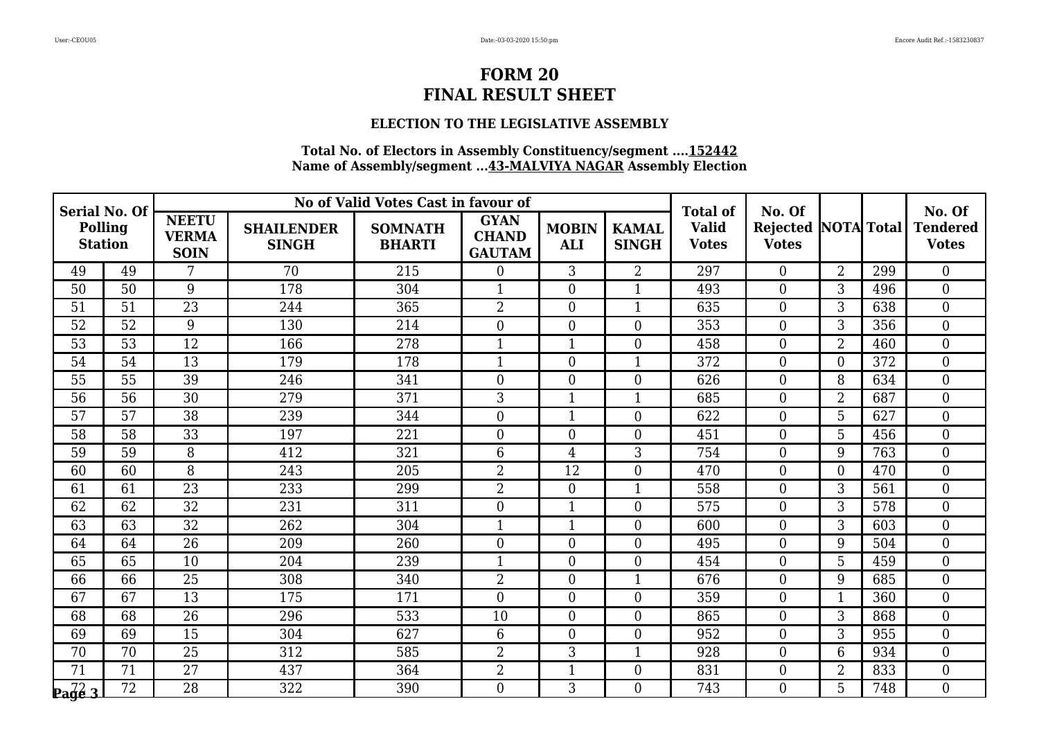## **ELECTION TO THE LEGISLATIVE ASSEMBLY**

| Serial No. Of<br><b>Polling</b><br><b>Station</b> |                 |                                             |                                   | No of Valid Votes Cast in favour of |                                              |                            |                              | <b>Total of</b>              | No. Of                                     |                |     | No. Of                          |
|---------------------------------------------------|-----------------|---------------------------------------------|-----------------------------------|-------------------------------------|----------------------------------------------|----------------------------|------------------------------|------------------------------|--------------------------------------------|----------------|-----|---------------------------------|
|                                                   |                 | <b>NEETU</b><br><b>VERMA</b><br><b>SOIN</b> | <b>SHAILENDER</b><br><b>SINGH</b> | <b>SOMNATH</b><br><b>BHARTI</b>     | <b>GYAN</b><br><b>CHAND</b><br><b>GAUTAM</b> | <b>MOBIN</b><br><b>ALI</b> | <b>KAMAL</b><br><b>SINGH</b> | <b>Valid</b><br><b>Votes</b> | <b>Rejected NOTA Total</b><br><b>Votes</b> |                |     | <b>Tendered</b><br><b>Votes</b> |
| 49                                                | 49              | 7                                           | 70                                | 215                                 | $\overline{0}$                               | 3                          | $\overline{2}$               | 297                          | $\overline{0}$                             | $\overline{2}$ | 299 | $\overline{0}$                  |
| 50                                                | 50              | 9                                           | 178                               | 304                                 | $\mathbf{1}$                                 | $\overline{0}$             | $\mathbf{1}$                 | 493                          | $\overline{0}$                             | 3              | 496 | $\boldsymbol{0}$                |
| 51                                                | 51              | 23                                          | 244                               | 365                                 | $\overline{2}$                               | $\mathbf{0}$               | $\mathbf{1}$                 | 635                          | $\boldsymbol{0}$                           | 3              | 638 | $\boldsymbol{0}$                |
| $\overline{52}$                                   | $\overline{52}$ | 9                                           | 130                               | 214                                 | $\overline{0}$                               | $\overline{0}$             | $\overline{0}$               | 353                          | $\boldsymbol{0}$                           | 3              | 356 | $\mathbf{0}$                    |
| 53                                                | 53              | 12                                          | 166                               | 278                                 | $\mathbf{1}$                                 | $\mathbf{1}$               | $\overline{0}$               | 458                          | $\overline{0}$                             | $\overline{2}$ | 460 | $\boldsymbol{0}$                |
| 54                                                | 54              | 13                                          | 179                               | 178                                 | $\mathbf{1}$                                 | $\mathbf{0}$               | $\mathbf{1}$                 | 372                          | $\boldsymbol{0}$                           | $\overline{0}$ | 372 | $\boldsymbol{0}$                |
| 55                                                | 55              | 39                                          | 246                               | 341                                 | $\overline{0}$                               | $\overline{0}$             | $\overline{0}$               | 626                          | $\boldsymbol{0}$                           | 8              | 634 | $\mathbf{0}$                    |
| 56                                                | 56              | 30                                          | 279                               | 371                                 | 3                                            | $\mathbf{1}$               | 1                            | 685                          | $\overline{0}$                             | $\overline{2}$ | 687 | $\mathbf{0}$                    |
| $\overline{57}$                                   | $\overline{57}$ | $\overline{38}$                             | 239                               | 344                                 | $\overline{0}$                               | $\mathbf{1}$               | $\overline{0}$               | 622                          | $\boldsymbol{0}$                           | 5              | 627 | $\overline{0}$                  |
| 58                                                | 58              | 33                                          | 197                               | 221                                 | $\overline{0}$                               | $\overline{0}$             | $\overline{0}$               | 451                          | $\boldsymbol{0}$                           | 5              | 456 | $\boldsymbol{0}$                |
| 59                                                | 59              | 8                                           | 412                               | 321                                 | 6                                            | $\overline{4}$             | 3                            | 754                          | $\overline{0}$                             | 9              | 763 | $\boldsymbol{0}$                |
| 60                                                | 60              | $\overline{8}$                              | 243                               | 205                                 | $\overline{2}$                               | 12                         | $\overline{0}$               | 470                          | $\boldsymbol{0}$                           | $\overline{0}$ | 470 | $\overline{0}$                  |
| 61                                                | 61              | $\overline{23}$                             | 233                               | 299                                 | $\overline{2}$                               | $\overline{0}$             | $\mathbf{1}$                 | 558                          | $\overline{0}$                             | 3              | 561 | $\boldsymbol{0}$                |
| 62                                                | 62              | 32                                          | 231                               | 311                                 | $\overline{0}$                               | $\mathbf{1}$               | $\overline{0}$               | 575                          | $\overline{0}$                             | 3              | 578 | $\mathbf{0}$                    |
| 63                                                | $\overline{63}$ | $\overline{32}$                             | 262                               | 304                                 | $\mathbf{1}$                                 | $\mathbf{1}$               | $\overline{0}$               | 600                          | $\boldsymbol{0}$                           | 3              | 603 | $\boldsymbol{0}$                |
| 64                                                | 64              | 26                                          | 209                               | 260                                 | $\overline{0}$                               | $\overline{0}$             | $\overline{0}$               | 495                          | $\overline{0}$                             | 9              | 504 | $\boldsymbol{0}$                |
| 65                                                | 65              | 10                                          | 204                               | 239                                 | $\mathbf{1}$                                 | $\overline{0}$             | $\overline{0}$               | 454                          | $\mathbf{0}$                               | 5              | 459 | $\mathbf{0}$                    |
| $\overline{66}$                                   | $\overline{66}$ | $\overline{25}$                             | 308                               | 340                                 | $\overline{2}$                               | $\mathbf{0}$               | $\mathbf{1}$                 | 676                          | $\boldsymbol{0}$                           | 9              | 685 | $\boldsymbol{0}$                |
| 67                                                | 67              | 13                                          | 175                               | 171                                 | $\Omega$                                     | $\overline{0}$             | $\overline{0}$               | 359                          | $\overline{0}$                             | $\mathbf{1}$   | 360 | $\boldsymbol{0}$                |
| 68                                                | 68              | 26                                          | 296                               | 533                                 | 10                                           | $\overline{0}$             | $\overline{0}$               | 865                          | $\overline{0}$                             | 3              | 868 | $\mathbf{0}$                    |
| 69                                                | 69              | 15                                          | 304                               | 627                                 | 6                                            | $\mathbf{0}$               | $\overline{0}$               | 952                          | $\boldsymbol{0}$                           | 3              | 955 | $\boldsymbol{0}$                |
| 70                                                | 70              | 25                                          | 312                               | 585                                 | $\overline{2}$                               | 3                          | $\mathbf{1}$                 | 928                          | $\overline{0}$                             | 6              | 934 | $\boldsymbol{0}$                |
| 71                                                | 71              | 27                                          | 437                               | 364                                 | $\overline{2}$                               | $\mathbf{1}$               | $\overline{0}$               | 831                          | $\overline{0}$                             | 2              | 833 | $\boldsymbol{0}$                |
| $\sqrt{\frac{7}{2}}$                              | $\overline{72}$ | $\overline{28}$                             | 322                               | 390                                 | $\theta$                                     | 3                          | $\overline{0}$               | 743                          | $\boldsymbol{0}$                           | 5              | 748 | $\boldsymbol{0}$                |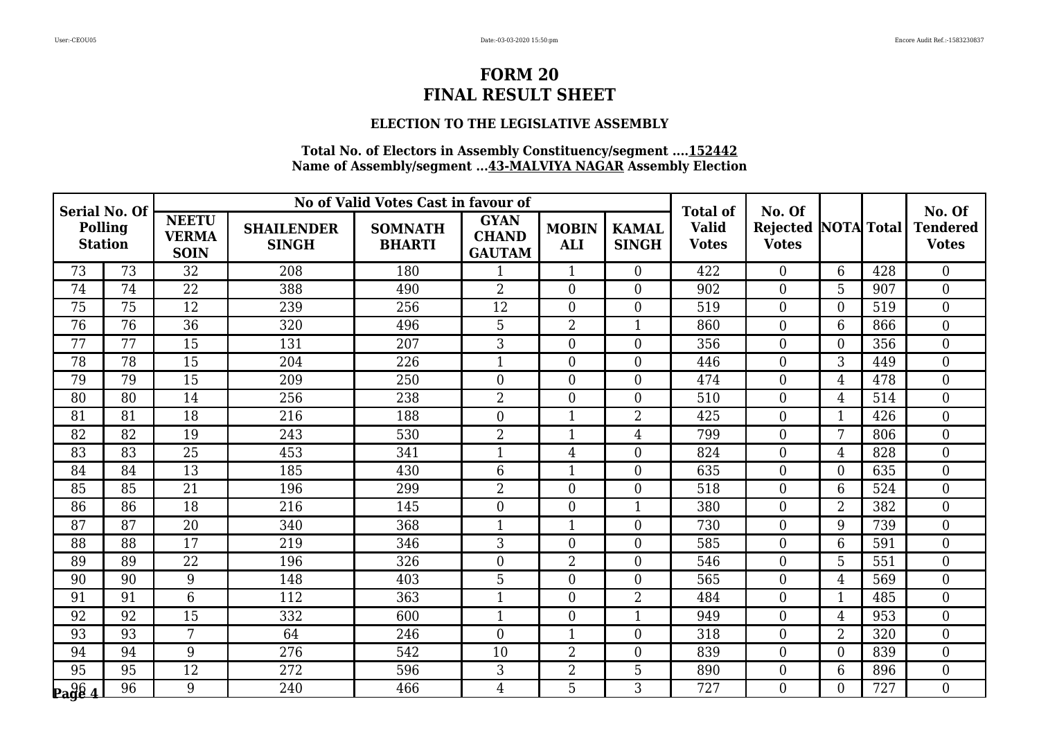## **ELECTION TO THE LEGISLATIVE ASSEMBLY**

| Serial No. Of<br><b>Polling</b><br><b>Station</b> |                 |                                             |                                   | No of Valid Votes Cast in favour of |                                              |                            |                              | <b>Total of</b>              | No. Of                                     |                 |     | No. Of                          |
|---------------------------------------------------|-----------------|---------------------------------------------|-----------------------------------|-------------------------------------|----------------------------------------------|----------------------------|------------------------------|------------------------------|--------------------------------------------|-----------------|-----|---------------------------------|
|                                                   |                 | <b>NEETU</b><br><b>VERMA</b><br><b>SOIN</b> | <b>SHAILENDER</b><br><b>SINGH</b> | <b>SOMNATH</b><br><b>BHARTI</b>     | <b>GYAN</b><br><b>CHAND</b><br><b>GAUTAM</b> | <b>MOBIN</b><br><b>ALI</b> | <b>KAMAL</b><br><b>SINGH</b> | <b>Valid</b><br><b>Votes</b> | <b>Rejected NOTA Total</b><br><b>Votes</b> |                 |     | <b>Tendered</b><br><b>Votes</b> |
| 73                                                | 73              | 32                                          | 208                               | 180                                 | $\mathbf{1}$                                 | $\mathbf{1}$               | $\overline{0}$               | 422                          | $\overline{0}$                             | 6               | 428 | $\boldsymbol{0}$                |
| 74                                                | 74              | 22                                          | 388                               | 490                                 | $\overline{2}$                               | $\overline{0}$             | $\overline{0}$               | 902                          | $\overline{0}$                             | 5               | 907 | $\overline{0}$                  |
| 75                                                | 75              | 12                                          | 239                               | 256                                 | 12                                           | $\boldsymbol{0}$           | $\overline{0}$               | 519                          | $\boldsymbol{0}$                           | $\overline{0}$  | 519 | $\boldsymbol{0}$                |
| 76                                                | 76              | 36                                          | 320                               | 496                                 | 5                                            | $\overline{2}$             | $\mathbf{1}$                 | 860                          | $\overline{0}$                             | 6               | 866 | $\overline{0}$                  |
| 77                                                | 77              | 15                                          | 131                               | 207                                 | 3                                            | $\overline{0}$             | $\overline{0}$               | 356                          | $\overline{0}$                             | 0               | 356 | $\overline{0}$                  |
| 78                                                | 78              | 15                                          | 204                               | 226                                 | $\overline{1}$                               | $\overline{0}$             | $\overline{0}$               | 446                          | $\boldsymbol{0}$                           | 3               | 449 | $\boldsymbol{0}$                |
| 79                                                | 79              | 15                                          | 209                               | 250                                 | $\Omega$                                     | $\overline{0}$             | $\Omega$                     | 474                          | $\overline{0}$                             | $\overline{4}$  | 478 | $\overline{0}$                  |
| 80                                                | 80              | 14                                          | 256                               | 238                                 | $\overline{2}$                               | $\boldsymbol{0}$           | $\overline{0}$               | 510                          | $\overline{0}$                             | 4               | 514 | $\boldsymbol{0}$                |
| 81                                                | 81              | 18                                          | 216                               | 188                                 | $\overline{0}$                               | $\mathbf{1}$               | $\overline{2}$               | 425                          | $\boldsymbol{0}$                           | $\mathbf{1}$    | 426 | $\overline{0}$                  |
| 82                                                | 82              | 19                                          | 243                               | 530                                 | 2                                            | $\mathbf{1}$               | $\overline{4}$               | 799                          | $\boldsymbol{0}$                           | $7\overline{ }$ | 806 | $\boldsymbol{0}$                |
| 83                                                | 83              | 25                                          | 453                               | 341                                 | $\mathbf{1}$                                 | $\overline{4}$             | $\overline{0}$               | 824                          | $\overline{0}$                             | 4               | 828 | $\boldsymbol{0}$                |
| 84                                                | 84              | 13                                          | 185                               | 430                                 | 6                                            | $\mathbf{1}$               | $\overline{0}$               | 635                          | $\boldsymbol{0}$                           | $\overline{0}$  | 635 | $\boldsymbol{0}$                |
| 85                                                | 85              | 21                                          | 196                               | 299                                 | 2                                            | $\overline{0}$             | $\overline{0}$               | 518                          | $\overline{0}$                             | 6               | 524 | $\boldsymbol{0}$                |
| 86                                                | 86              | 18                                          | 216                               | 145                                 | $\Omega$                                     | $\overline{0}$             | $\mathbf{1}$                 | 380                          | $\overline{0}$                             | $\overline{2}$  | 382 | $\overline{0}$                  |
| 87                                                | 87              | 20                                          | 340                               | 368                                 | $\mathbf{1}$                                 | $\mathbf{1}$               | $\overline{0}$               | 730                          | $\boldsymbol{0}$                           | 9               | 739 | $\boldsymbol{0}$                |
| 88                                                | 88              | 17                                          | 219                               | 346                                 | 3                                            | $\overline{0}$             | $\Omega$                     | 585                          | $\overline{0}$                             | 6               | 591 | $\overline{0}$                  |
| 89                                                | 89              | 22                                          | 196                               | 326                                 | $\overline{0}$                               | $\overline{2}$             | $\Omega$                     | 546                          | $\overline{0}$                             | 5               | 551 | $\overline{0}$                  |
| 90                                                | 90              | 9                                           | 148                               | 403                                 | 5                                            | $\boldsymbol{0}$           | $\overline{0}$               | 565                          | $\overline{0}$                             | 4               | 569 | $\boldsymbol{0}$                |
| 91                                                | 91              | $\overline{6}$                              | 112                               | 363                                 | $\mathbf{1}$                                 | $\theta$                   | 2                            | 484                          | $\overline{0}$                             | $\mathbf{1}$    | 485 | $\overline{0}$                  |
| 92                                                | 92              | 15                                          | 332                               | 600                                 | $\mathbf{1}$                                 | $\overline{0}$             | 1                            | 949                          | $\overline{0}$                             | 4               | 953 | $\overline{0}$                  |
| 93                                                | 93              | 7                                           | 64                                | 246                                 | $\overline{0}$                               | $\mathbf{1}$               | $\overline{0}$               | 318                          | $\boldsymbol{0}$                           | $\overline{2}$  | 320 | $\overline{0}$                  |
| 94                                                | 94              | 9                                           | 276                               | 542                                 | 10                                           | $\overline{2}$             | $\overline{0}$               | 839                          | $\overline{0}$                             | $\overline{0}$  | 839 | $\overline{0}$                  |
| 95                                                | 95              | 12                                          | 272                               | 596                                 | 3                                            | $\overline{2}$             | 5                            | 890                          | $\overline{0}$                             | 6               | 896 | $\boldsymbol{0}$                |
| $\log_{4}$                                        | $\overline{96}$ | 9                                           | 240                               | 466                                 | 4                                            | 5                          | 3                            | 727                          | $\boldsymbol{0}$                           | 0               | 727 | $\boldsymbol{0}$                |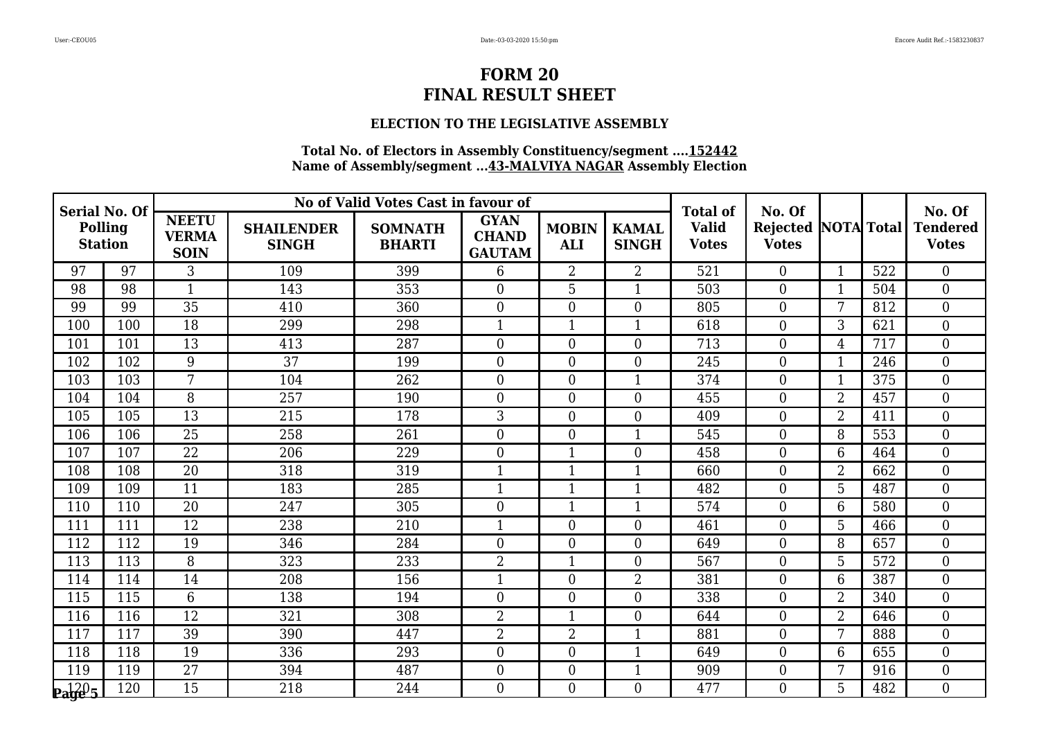## **ELECTION TO THE LEGISLATIVE ASSEMBLY**

| Serial No. Of<br><b>Polling</b><br><b>Station</b> |     |                                             |                                   | No of Valid Votes Cast in favour of |                                              |                            |                              | <b>Total of</b>              | No. Of                                     |                |     | No. Of                          |
|---------------------------------------------------|-----|---------------------------------------------|-----------------------------------|-------------------------------------|----------------------------------------------|----------------------------|------------------------------|------------------------------|--------------------------------------------|----------------|-----|---------------------------------|
|                                                   |     | <b>NEETU</b><br><b>VERMA</b><br><b>SOIN</b> | <b>SHAILENDER</b><br><b>SINGH</b> | <b>SOMNATH</b><br><b>BHARTI</b>     | <b>GYAN</b><br><b>CHAND</b><br><b>GAUTAM</b> | <b>MOBIN</b><br><b>ALI</b> | <b>KAMAL</b><br><b>SINGH</b> | <b>Valid</b><br><b>Votes</b> | <b>Rejected NOTA Total</b><br><b>Votes</b> |                |     | <b>Tendered</b><br><b>Votes</b> |
| 97                                                | 97  | 3                                           | 109                               | 399                                 | 6                                            | $\overline{2}$             | $\overline{2}$               | 521                          | $\overline{0}$                             | $\mathbf{1}$   | 522 | $\overline{0}$                  |
| 98                                                | 98  | $\mathbf{1}$                                | 143                               | 353                                 | $\overline{0}$                               | 5                          | $\mathbf{1}$                 | 503                          | $\overline{0}$                             | 1              | 504 | $\mathbf{0}$                    |
| 99                                                | 99  | 35                                          | 410                               | 360                                 | $\overline{0}$                               | $\mathbf{0}$               | $\overline{0}$               | 805                          | $\boldsymbol{0}$                           | 7              | 812 | $\boldsymbol{0}$                |
| 100                                               | 100 | 18                                          | 299                               | 298                                 | $\mathbf{1}$                                 | $\mathbf{1}$               | $\mathbf{1}$                 | 618                          | $\boldsymbol{0}$                           | 3              | 621 | $\mathbf{0}$                    |
| 101                                               | 101 | 13                                          | 413                               | 287                                 | $\overline{0}$                               | $\overline{0}$             | $\overline{0}$               | 713                          | $\overline{0}$                             | 4              | 717 | $\mathbf{0}$                    |
| 102                                               | 102 | 9                                           | 37                                | 199                                 | $\overline{0}$                               | $\boldsymbol{0}$           | $\overline{0}$               | 245                          | $\boldsymbol{0}$                           | $\mathbf{1}$   | 246 | $\boldsymbol{0}$                |
| 103                                               | 103 | $\overline{7}$                              | 104                               | 262                                 | $\overline{0}$                               | $\overline{0}$             | $\mathbf{1}$                 | 374                          | $\boldsymbol{0}$                           | $\mathbf{1}$   | 375 | $\mathbf{0}$                    |
| 104                                               | 104 | 8                                           | 257                               | 190                                 | $\theta$                                     | $\overline{0}$             | $\overline{0}$               | 455                          | $\overline{0}$                             | $\overline{2}$ | 457 | $\mathbf{0}$                    |
| 105                                               | 105 | $\overline{13}$                             | 215                               | 178                                 | 3                                            | $\boldsymbol{0}$           | $\overline{0}$               | 409                          | $\boldsymbol{0}$                           | $\overline{2}$ | 411 | $\boldsymbol{0}$                |
| 106                                               | 106 | 25                                          | 258                               | 261                                 | $\overline{0}$                               | $\overline{0}$             | $\mathbf{1}$                 | 545                          | $\boldsymbol{0}$                           | 8              | 553 | $\mathbf{0}$                    |
| 107                                               | 107 | 22                                          | 206                               | 229                                 | $\theta$                                     | $\mathbf{1}$               | $\overline{0}$               | 458                          | $\overline{0}$                             | 6              | 464 | $\mathbf{0}$                    |
| 108                                               | 108 | $\overline{20}$                             | 318                               | 319                                 | $\mathbf{1}$                                 | $\overline{1}$             | 1                            | 660                          | $\boldsymbol{0}$                           | $\overline{2}$ | 662 | $\overline{0}$                  |
| 109                                               | 109 | 11                                          | 183                               | 285                                 | $\mathbf{1}$                                 | $\mathbf{1}$               | $\mathbf{1}$                 | 482                          | $\overline{0}$                             | 5              | 487 | $\mathbf{0}$                    |
| 110                                               | 110 | 20                                          | 247                               | 305                                 | $\overline{0}$                               | $\mathbf{1}$               | 1                            | 574                          | $\overline{0}$                             | 6              | 580 | $\overline{0}$                  |
| 111                                               | 111 | 12                                          | 238                               | 210                                 | $\mathbf{1}$                                 | $\mathbf{0}$               | $\overline{0}$               | 461                          | $\boldsymbol{0}$                           | 5              | 466 | $\boldsymbol{0}$                |
| 112                                               | 112 | 19                                          | 346                               | 284                                 | $\Omega$                                     | $\overline{0}$             | $\overline{0}$               | 649                          | $\overline{0}$                             | 8              | 657 | $\mathbf{0}$                    |
| 113                                               | 113 | 8                                           | 323                               | 233                                 | $\overline{2}$                               | $\mathbf{1}$               | $\overline{0}$               | 567                          | $\overline{0}$                             | 5              | 572 | $\mathbf{0}$                    |
| 114                                               | 114 | 14                                          | 208                               | 156                                 | $\overline{1}$                               | $\mathbf{0}$               | $\overline{2}$               | 381                          | $\boldsymbol{0}$                           | $6\phantom{1}$ | 387 | $\boldsymbol{0}$                |
| 115                                               | 115 | 6                                           | 138                               | 194                                 | $\Omega$                                     | $\overline{0}$             | $\overline{0}$               | 338                          | $\overline{0}$                             | $\overline{2}$ | 340 | $\overline{0}$                  |
| 116                                               | 116 | 12                                          | 321                               | 308                                 | $\overline{2}$                               | $\mathbf{1}$               | $\Omega$                     | 644                          | $\overline{0}$                             | $\overline{2}$ | 646 | $\mathbf{0}$                    |
| 117                                               | 117 | 39                                          | 390                               | 447                                 | $\overline{2}$                               | $\overline{2}$             | $\mathbf{1}$                 | 881                          | $\mathbf{0}$                               | 7              | 888 | $\boldsymbol{0}$                |
| 118                                               | 118 | 19                                          | 336                               | 293                                 | $\Omega$                                     | $\overline{0}$             | $\mathbf{1}$                 | 649                          | $\overline{0}$                             | 6              | 655 | $\overline{0}$                  |
| 119                                               | 119 | 27                                          | 394                               | 487                                 | $\overline{0}$                               | $\overline{0}$             | 1                            | 909                          | $\overline{0}$                             | 7              | 916 | $\overline{0}$                  |
| $\mathbf{p}_\mathbf{a}$ ge 5                      | 120 | 15                                          | 218                               | 244                                 | $\overline{0}$                               | $\boldsymbol{0}$           | $\overline{0}$               | 477                          | $\overline{0}$                             | 5              | 482 | $\boldsymbol{0}$                |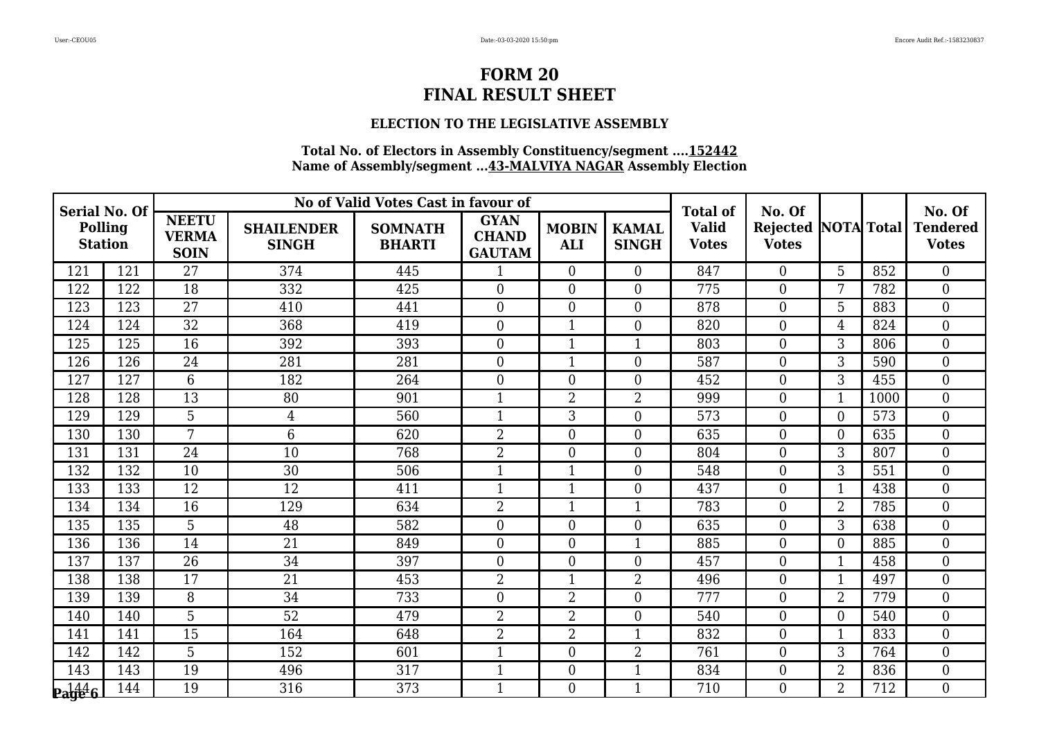### **ELECTION TO THE LEGISLATIVE ASSEMBLY**

| Serial No. Of<br>Polling<br><b>Station</b> |     |                                             |                                   | No of Valid Votes Cast in favour of |                                              |                            |                              | <b>Total of</b>              | No. Of                              |                  |      | No. Of                          |
|--------------------------------------------|-----|---------------------------------------------|-----------------------------------|-------------------------------------|----------------------------------------------|----------------------------|------------------------------|------------------------------|-------------------------------------|------------------|------|---------------------------------|
|                                            |     | <b>NEETU</b><br><b>VERMA</b><br><b>SOIN</b> | <b>SHAILENDER</b><br><b>SINGH</b> | <b>SOMNATH</b><br><b>BHARTI</b>     | <b>GYAN</b><br><b>CHAND</b><br><b>GAUTAM</b> | <b>MOBIN</b><br><b>ALI</b> | <b>KAMAL</b><br><b>SINGH</b> | <b>Valid</b><br><b>Votes</b> | Rejected NOTA Total<br><b>Votes</b> |                  |      | <b>Tendered</b><br><b>Votes</b> |
| 121                                        | 121 | 27                                          | 374                               | 445                                 | $\mathbf{1}$                                 | $\theta$                   | $\Omega$                     | 847                          | $\theta$                            | 5                | 852  | $\theta$                        |
| 122                                        | 122 | 18                                          | 332                               | 425                                 | $\overline{0}$                               | $\overline{0}$             | $\overline{0}$               | 775                          | $\overline{0}$                      | 7                | 782  | $\boldsymbol{0}$                |
| 123                                        | 123 | 27                                          | 410                               | 441                                 | $\overline{0}$                               | $\overline{0}$             | $\overline{0}$               | 878                          | $\boldsymbol{0}$                    | 5                | 883  | $\boldsymbol{0}$                |
| 124                                        | 124 | $\overline{32}$                             | 368                               | 419                                 | $\overline{0}$                               | $\mathbf{1}$               | $\Omega$                     | 820                          | $\mathbf{0}$                        | $\overline{4}$   | 824  | $\overline{0}$                  |
| 125                                        | 125 | 16                                          | 392                               | 393                                 | $\overline{0}$                               | $\mathbf{1}$               | $\mathbf{1}$                 | 803                          | $\boldsymbol{0}$                    | 3                | 806  | $\boldsymbol{0}$                |
| 126                                        | 126 | 24                                          | 281                               | 281                                 | $\boldsymbol{0}$                             | $\mathbf{1}$               | $\overline{0}$               | 587                          | $\overline{0}$                      | 3                | 590  | $\boldsymbol{0}$                |
| 127                                        | 127 | 6                                           | 182                               | 264                                 | $\overline{0}$                               | $\overline{0}$             | $\overline{0}$               | 452                          | $\mathbf{0}$                        | 3                | 455  | $\overline{0}$                  |
| 128                                        | 128 | 13                                          | 80                                | 901                                 | $\mathbf{1}$                                 | $\overline{2}$             | $\overline{2}$               | 999                          | $\overline{0}$                      | $\mathbf{1}$     | 1000 | $\boldsymbol{0}$                |
| 129                                        | 129 | $\overline{5}$                              | 4                                 | 560                                 | $\mathbf{1}$                                 | 3                          | $\overline{0}$               | 573                          | $\overline{0}$                      | $\overline{0}$   | 573  | $\overline{0}$                  |
| 130                                        | 130 | $\overline{7}$                              | 6                                 | 620                                 | $\overline{2}$                               | $\overline{0}$             | $\overline{0}$               | 635                          | $\overline{0}$                      | $\overline{0}$   | 635  | $\overline{0}$                  |
| 131                                        | 131 | 24                                          | 10                                | 768                                 | $\overline{2}$                               | $\boldsymbol{0}$           | $\overline{0}$               | 804                          | $\overline{0}$                      | 3                | 807  | $\boldsymbol{0}$                |
| 132                                        | 132 | 10                                          | 30                                | 506                                 | $\mathbf{1}$                                 | $\mathbf{1}$               | $\overline{0}$               | 548                          | $\mathbf{0}$                        | 3                | 551  | $\overline{0}$                  |
| 133                                        | 133 | 12                                          | 12                                | 411                                 | $\mathbf{1}$                                 | $\mathbf{1}$               | 0                            | 437                          | $\boldsymbol{0}$                    | $\mathbf{1}$     | 438  | $\boldsymbol{0}$                |
| 134                                        | 134 | $\overline{16}$                             | 129                               | 634                                 | $\overline{2}$                               | $\mathbf{1}$               | $\mathbf{1}$                 | 783                          | $\overline{0}$                      | $\overline{2}$   | 785  | $\boldsymbol{0}$                |
| 135                                        | 135 | 5                                           | 48                                | 582                                 | $\overline{0}$                               | $\overline{0}$             | $\overline{0}$               | 635                          | $\mathbf{0}$                        | 3                | 638  | $\overline{0}$                  |
| 136                                        | 136 | 14                                          | 21                                | 849                                 | $\boldsymbol{0}$                             | $\boldsymbol{0}$           | $\mathbf{1}$                 | 885                          | $\boldsymbol{0}$                    | $\boldsymbol{0}$ | 885  | $\boldsymbol{0}$                |
| 137                                        | 137 | 26                                          | 34                                | 397                                 | $\Omega$                                     | $\overline{0}$             | $\overline{0}$               | 457                          | $\boldsymbol{0}$                    | $\mathbf{1}$     | 458  | $\mathbf{0}$                    |
| 138                                        | 138 | 17                                          | $\overline{21}$                   | 453                                 | $\overline{2}$                               | $\mathbf{1}$               | $\overline{2}$               | 496                          | $\mathbf{0}$                        | $\mathbf{1}$     | 497  | $\theta$                        |
| 139                                        | 139 | 8                                           | 34                                | 733                                 | $\overline{0}$                               | $\overline{2}$             | $\overline{0}$               | 777                          | $\mathbf{0}$                        | $\overline{2}$   | 779  | $\mathbf{0}$                    |
| 140                                        | 140 | 5                                           | 52                                | 479                                 | $\overline{2}$                               | $\overline{2}$             | $\overline{0}$               | 540                          | $\boldsymbol{0}$                    | $\overline{0}$   | 540  | $\mathbf{0}$                    |
| 141                                        | 141 | 15                                          | 164                               | 648                                 | $\overline{2}$                               | $\overline{2}$             | $\mathbf{1}$                 | 832                          | $\mathbf{0}$                        | $\mathbf{1}$     | 833  | $\theta$                        |
| 142                                        | 142 | 5                                           | 152                               | 601                                 | 1                                            | $\overline{0}$             | $\overline{2}$               | 761                          | $\boldsymbol{0}$                    | 3                | 764  | $\mathbf{0}$                    |
| 143                                        | 143 | 19                                          | 496                               | 317                                 | $\mathbf{1}$                                 | $\boldsymbol{0}$           | $\mathbf{1}$                 | 834                          | $\boldsymbol{0}$                    | $\overline{2}$   | 836  | $\boldsymbol{0}$                |
| $\mathbf{p}_\mathbf{a}$ ge <sup>4</sup> 6  | 144 | 19                                          | 316                               | 373                                 | $\mathbf{1}$                                 | $\overline{0}$             | $\mathbf{1}$                 | 710                          | $\overline{0}$                      | $\overline{2}$   | 712  | $\theta$                        |